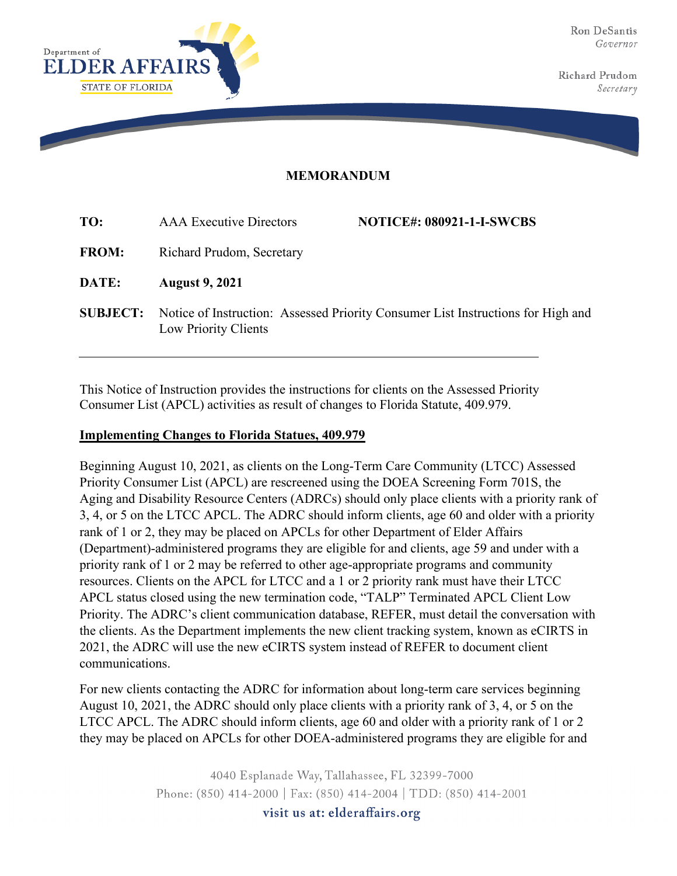

Richard Prudom Secretary

## **MEMORANDUM**

| TO:             | <b>AAA</b> Executive Directors                                                                           | <b>NOTICE#: 080921-1-I-SWCBS</b> |
|-----------------|----------------------------------------------------------------------------------------------------------|----------------------------------|
| <b>FROM:</b>    | Richard Prudom, Secretary                                                                                |                                  |
| DATE:           | <b>August 9, 2021</b>                                                                                    |                                  |
| <b>SUBJECT:</b> | Notice of Instruction: Assessed Priority Consumer List Instructions for High and<br>Low Priority Clients |                                  |

This Notice of Instruction provides the instructions for clients on the Assessed Priority Consumer List (APCL) activities as result of changes to Florida Statute, 409.979.

## **Implementing Changes to Florida Statues, 409.979**

Beginning August 10, 2021, as clients on the Long-Term Care Community (LTCC) Assessed Priority Consumer List (APCL) are rescreened using the DOEA Screening Form 701S, the Aging and Disability Resource Centers (ADRCs) should only place clients with a priority rank of 3, 4, or 5 on the LTCC APCL. The ADRC should inform clients, age 60 and older with a priority rank of 1 or 2, they may be placed on APCLs for other Department of Elder Affairs (Department)-administered programs they are eligible for and clients, age 59 and under with a priority rank of 1 or 2 may be referred to other age-appropriate programs and community resources. Clients on the APCL for LTCC and a 1 or 2 priority rank must have their LTCC APCL status closed using the new termination code, "TALP" Terminated APCL Client Low Priority. The ADRC's client communication database, REFER, must detail the conversation with the clients. As the Department implements the new client tracking system, known as eCIRTS in 2021, the ADRC will use the new eCIRTS system instead of REFER to document client communications.

For new clients contacting the ADRC for information about long-term care services beginning August 10, 2021, the ADRC should only place clients with a priority rank of 3, 4, or 5 on the LTCC APCL. The ADRC should inform clients, age 60 and older with a priority rank of 1 or 2 they may be placed on APCLs for other DOEA-administered programs they are eligible for and

> 4040 Esplanade Way, Tallahassee, FL 32399-7000 Phone: (850) 414-2000 | Fax: (850) 414-2004 | TDD: (850) 414-2001 visit us at: elderaffairs.org